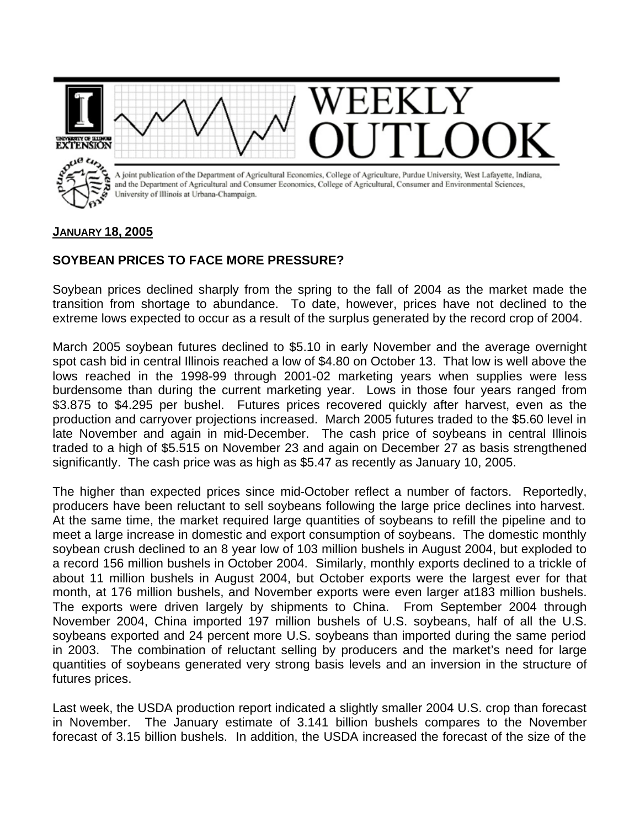

## **JANUARY 18, 2005**

## **SOYBEAN PRICES TO FACE MORE PRESSURE?**

Soybean prices declined sharply from the spring to the fall of 2004 as the market made the transition from shortage to abundance. To date, however, prices have not declined to the extreme lows expected to occur as a result of the surplus generated by the record crop of 2004.

March 2005 soybean futures declined to \$5.10 in early November and the average overnight spot cash bid in central Illinois reached a low of \$4.80 on October 13. That low is well above the lows reached in the 1998-99 through 2001-02 marketing years when supplies were less burdensome than during the current marketing year. Lows in those four years ranged from \$3.875 to \$4.295 per bushel. Futures prices recovered quickly after harvest, even as the production and carryover projections increased. March 2005 futures traded to the \$5.60 level in late November and again in mid-December. The cash price of soybeans in central Illinois traded to a high of \$5.515 on November 23 and again on December 27 as basis strengthened significantly. The cash price was as high as \$5.47 as recently as January 10, 2005.

The higher than expected prices since mid-October reflect a number of factors. Reportedly, producers have been reluctant to sell soybeans following the large price declines into harvest. At the same time, the market required large quantities of soybeans to refill the pipeline and to meet a large increase in domestic and export consumption of soybeans. The domestic monthly soybean crush declined to an 8 year low of 103 million bushels in August 2004, but exploded to a record 156 million bushels in October 2004. Similarly, monthly exports declined to a trickle of about 11 million bushels in August 2004, but October exports were the largest ever for that month, at 176 million bushels, and November exports were even larger at183 million bushels. The exports were driven largely by shipments to China. From September 2004 through November 2004, China imported 197 million bushels of U.S. soybeans, half of all the U.S. soybeans exported and 24 percent more U.S. soybeans than imported during the same period in 2003. The combination of reluctant selling by producers and the market's need for large quantities of soybeans generated very strong basis levels and an inversion in the structure of futures prices.

Last week, the USDA production report indicated a slightly smaller 2004 U.S. crop than forecast in November. The January estimate of 3.141 billion bushels compares to the November forecast of 3.15 billion bushels. In addition, the USDA increased the forecast of the size of the